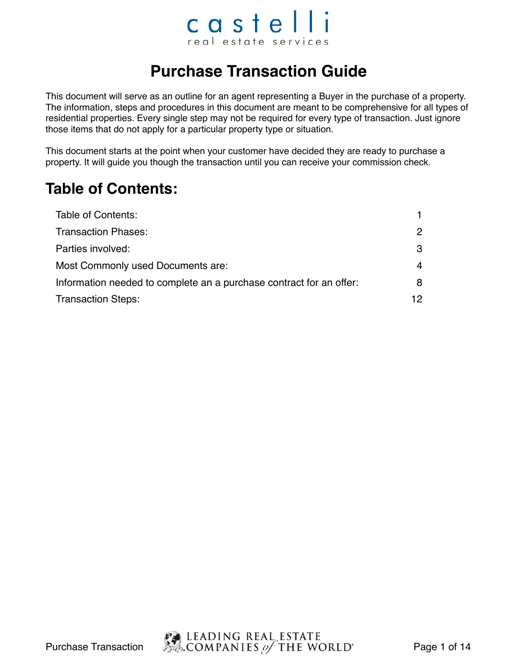### castelli real estate services

#### **Purchase Transaction Guide**

This document will serve as an outline for an agent representing a Buyer in the purchase of a property. The information, steps and procedures in this document are meant to be comprehensive for all types of residential properties. Every single step may not be required for every type of transaction. Just ignore those items that do not apply for a particular property type or situation.

This document starts at the point when your customer have decided they are ready to purchase a property. It will guide you though the transaction until you can receive your commission check.

#### **Table of Contents:**

| Table of Contents:                                                  |               |
|---------------------------------------------------------------------|---------------|
| <b>Transaction Phases:</b>                                          | $\mathcal{P}$ |
| Parties involved:                                                   | 3             |
| Most Commonly used Documents are:                                   | 4             |
| Information needed to complete an a purchase contract for an offer: | 8             |
| <b>Transaction Steps:</b>                                           | 12            |

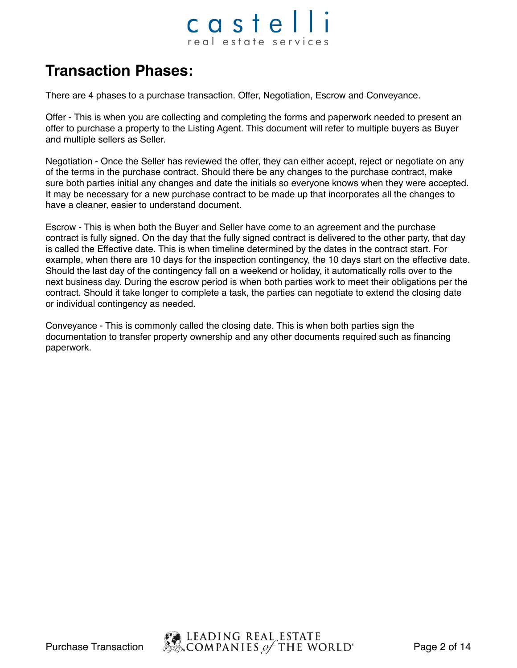#### castelli real estate services

#### **Transaction Phases:**

There are 4 phases to a purchase transaction. Offer, Negotiation, Escrow and Conveyance.

Offer - This is when you are collecting and completing the forms and paperwork needed to present an offer to purchase a property to the Listing Agent. This document will refer to multiple buyers as Buyer and multiple sellers as Seller.

Negotiation - Once the Seller has reviewed the offer, they can either accept, reject or negotiate on any of the terms in the purchase contract. Should there be any changes to the purchase contract, make sure both parties initial any changes and date the initials so everyone knows when they were accepted. It may be necessary for a new purchase contract to be made up that incorporates all the changes to have a cleaner, easier to understand document.

Escrow - This is when both the Buyer and Seller have come to an agreement and the purchase contract is fully signed. On the day that the fully signed contract is delivered to the other party, that day is called the Effective date. This is when timeline determined by the dates in the contract start. For example, when there are 10 days for the inspection contingency, the 10 days start on the effective date. Should the last day of the contingency fall on a weekend or holiday, it automatically rolls over to the next business day. During the escrow period is when both parties work to meet their obligations per the contract. Should it take longer to complete a task, the parties can negotiate to extend the closing date or individual contingency as needed.

Conveyance - This is commonly called the closing date. This is when both parties sign the documentation to transfer property ownership and any other documents required such as financing paperwork.

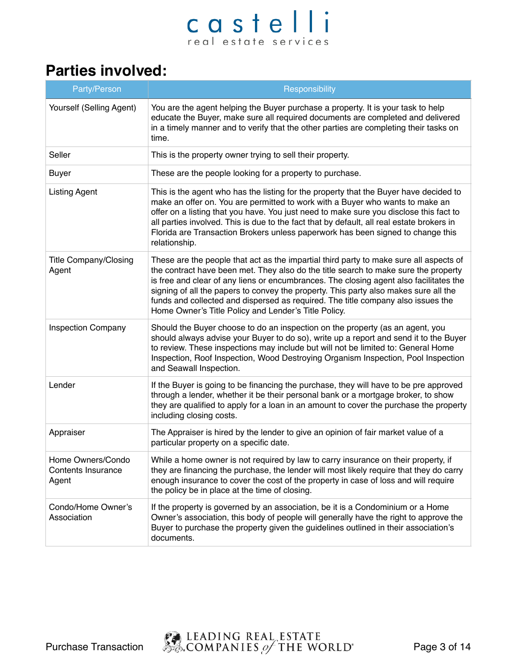#### **Parties involved:**

| Party/Person                                     | Responsibility                                                                                                                                                                                                                                                                                                                                                                                                                                                                                              |
|--------------------------------------------------|-------------------------------------------------------------------------------------------------------------------------------------------------------------------------------------------------------------------------------------------------------------------------------------------------------------------------------------------------------------------------------------------------------------------------------------------------------------------------------------------------------------|
| Yourself (Selling Agent)                         | You are the agent helping the Buyer purchase a property. It is your task to help<br>educate the Buyer, make sure all required documents are completed and delivered<br>in a timely manner and to verify that the other parties are completing their tasks on<br>time.                                                                                                                                                                                                                                       |
| Seller                                           | This is the property owner trying to sell their property.                                                                                                                                                                                                                                                                                                                                                                                                                                                   |
| <b>Buyer</b>                                     | These are the people looking for a property to purchase.                                                                                                                                                                                                                                                                                                                                                                                                                                                    |
| <b>Listing Agent</b>                             | This is the agent who has the listing for the property that the Buyer have decided to<br>make an offer on. You are permitted to work with a Buyer who wants to make an<br>offer on a listing that you have. You just need to make sure you disclose this fact to<br>all parties involved. This is due to the fact that by default, all real estate brokers in<br>Florida are Transaction Brokers unless paperwork has been signed to change this<br>relationship.                                           |
| <b>Title Company/Closing</b><br>Agent            | These are the people that act as the impartial third party to make sure all aspects of<br>the contract have been met. They also do the title search to make sure the property<br>is free and clear of any liens or encumbrances. The closing agent also facilitates the<br>signing of all the papers to convey the property. This party also makes sure all the<br>funds and collected and dispersed as required. The title company also issues the<br>Home Owner's Title Policy and Lender's Title Policy. |
| <b>Inspection Company</b>                        | Should the Buyer choose to do an inspection on the property (as an agent, you<br>should always advise your Buyer to do so), write up a report and send it to the Buyer<br>to review. These inspections may include but will not be limited to: General Home<br>Inspection, Roof Inspection, Wood Destroying Organism Inspection, Pool Inspection<br>and Seawall Inspection.                                                                                                                                 |
| Lender                                           | If the Buyer is going to be financing the purchase, they will have to be pre approved<br>through a lender, whether it be their personal bank or a mortgage broker, to show<br>they are qualified to apply for a loan in an amount to cover the purchase the property<br>including closing costs.                                                                                                                                                                                                            |
| Appraiser                                        | The Appraiser is hired by the lender to give an opinion of fair market value of a<br>particular property on a specific date.                                                                                                                                                                                                                                                                                                                                                                                |
| Home Owners/Condo<br>Contents Insurance<br>Agent | While a home owner is not required by law to carry insurance on their property, if<br>they are financing the purchase, the lender will most likely require that they do carry<br>enough insurance to cover the cost of the property in case of loss and will require<br>the policy be in place at the time of closing.                                                                                                                                                                                      |
| Condo/Home Owner's<br>Association                | If the property is governed by an association, be it is a Condominium or a Home<br>Owner's association, this body of people will generally have the right to approve the<br>Buyer to purchase the property given the guidelines outlined in their association's<br>documents.                                                                                                                                                                                                                               |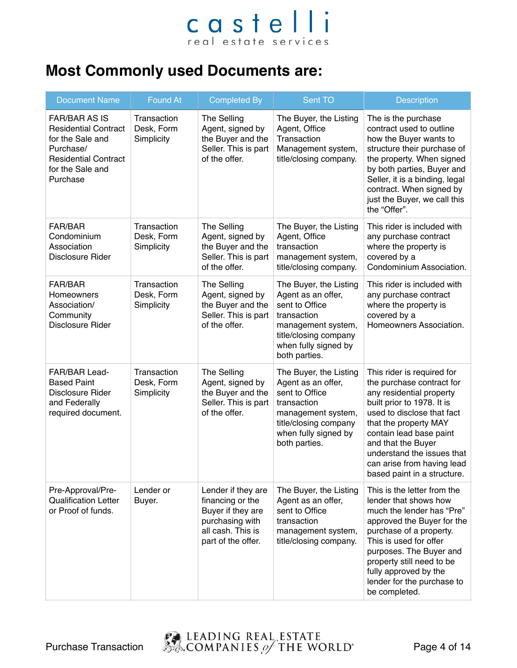#### **Most Commonly used Documents are:**

| <b>Document Name</b>                                                                                                                                | <b>Found At</b>                         | <b>Completed By</b>                                                                                                       | Sent TO                                                                                                                                                               | <b>Description</b>                                                                                                                                                                                                                                                                                                   |
|-----------------------------------------------------------------------------------------------------------------------------------------------------|-----------------------------------------|---------------------------------------------------------------------------------------------------------------------------|-----------------------------------------------------------------------------------------------------------------------------------------------------------------------|----------------------------------------------------------------------------------------------------------------------------------------------------------------------------------------------------------------------------------------------------------------------------------------------------------------------|
| <b>FAR/BAR AS IS</b><br><b>Residential Contract</b><br>for the Sale and<br>Purchase/<br><b>Residential Contract</b><br>for the Sale and<br>Purchase | Transaction<br>Desk, Form<br>Simplicity | <b>The Selling</b><br>Agent, signed by<br>the Buyer and the<br>Seller. This is part<br>of the offer.                      | The Buyer, the Listing<br>Agent, Office<br>Transaction<br>Management system,<br>title/closing company.                                                                | The is the purchase<br>contract used to outline<br>how the Buyer wants to<br>structure their purchase of<br>the property. When signed<br>by both parties, Buyer and<br>Seller, it is a binding, legal<br>contract. When signed by<br>just the Buyer, we call this<br>the "Offer".                                    |
| FAR/BAR<br>Condominium<br>Association<br>Disclosure Rider                                                                                           | Transaction<br>Desk, Form<br>Simplicity | The Selling<br>Agent, signed by<br>the Buyer and the<br>Seller. This is part<br>of the offer.                             | The Buyer, the Listing<br>Agent, Office<br>transaction<br>management system,<br>title/closing company.                                                                | This rider is included with<br>any purchase contract<br>where the property is<br>covered by a<br>Condominium Association.                                                                                                                                                                                            |
| <b>FAR/BAR</b><br>Homeowners<br>Association/<br>Community<br>Disclosure Rider                                                                       | Transaction<br>Desk, Form<br>Simplicity | The Selling<br>Agent, signed by<br>the Buyer and the<br>Seller. This is part<br>of the offer.                             | The Buyer, the Listing<br>Agent as an offer,<br>sent to Office<br>transaction<br>management system,<br>title/closing company<br>when fully signed by<br>both parties. | This rider is included with<br>any purchase contract<br>where the property is<br>covered by a<br>Homeowners Association.                                                                                                                                                                                             |
| FAR/BAR Lead-<br><b>Based Paint</b><br>Disclosure Rider<br>and Federally<br>required document.                                                      | Transaction<br>Desk, Form<br>Simplicity | <b>The Selling</b><br>Agent, signed by<br>the Buyer and the<br>Seller. This is part<br>of the offer.                      | The Buyer, the Listing<br>Agent as an offer,<br>sent to Office<br>transaction<br>management system,<br>title/closing company<br>when fully signed by<br>both parties. | This rider is required for<br>the purchase contract for<br>any residential property<br>built prior to 1978. It is<br>used to disclose that fact<br>that the property MAY<br>contain lead base paint<br>and that the Buyer<br>understand the issues that<br>can arise from having lead<br>based paint in a structure. |
| Pre-Approval/Pre-<br><b>Qualification Letter</b><br>or Proof of funds.                                                                              | Lender or<br>Buyer.                     | Lender if they are<br>financing or the<br>Buyer if they are<br>purchasing with<br>all cash. This is<br>part of the offer. | The Buyer, the Listing<br>Agent as an offer,<br>sent to Office<br>transaction<br>management system,<br>title/closing company.                                         | This is the letter from the<br>lender that shows how<br>much the lender has "Pre"<br>approved the Buyer for the<br>purchase of a property.<br>This is used for offer<br>purposes. The Buyer and<br>property still need to be<br>fully approved by the<br>lender for the purchase to<br>be completed.                 |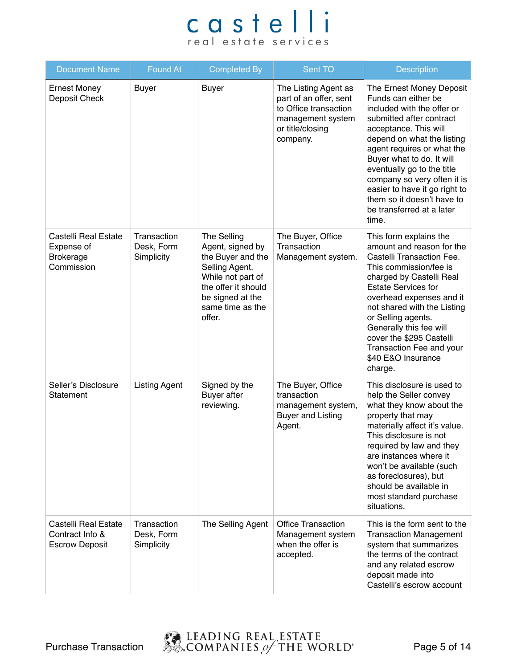| <b>Document Name</b>                                                 | <b>Found At</b>                         | <b>Completed By</b>                                                                                                                                                  | Sent TO                                                                                                                      | Description                                                                                                                                                                                                                                                                                                                                                                                   |
|----------------------------------------------------------------------|-----------------------------------------|----------------------------------------------------------------------------------------------------------------------------------------------------------------------|------------------------------------------------------------------------------------------------------------------------------|-----------------------------------------------------------------------------------------------------------------------------------------------------------------------------------------------------------------------------------------------------------------------------------------------------------------------------------------------------------------------------------------------|
| <b>Ernest Money</b><br>Deposit Check                                 | <b>Buyer</b>                            | <b>Buyer</b>                                                                                                                                                         | The Listing Agent as<br>part of an offer, sent<br>to Office transaction<br>management system<br>or title/closing<br>company. | The Ernest Money Deposit<br>Funds can either be<br>included with the offer or<br>submitted after contract<br>acceptance. This will<br>depend on what the listing<br>agent requires or what the<br>Buyer what to do. It will<br>eventually go to the title<br>company so very often it is<br>easier to have it go right to<br>them so it doesn't have to<br>be transferred at a later<br>time. |
| Castelli Real Estate<br>Expense of<br><b>Brokerage</b><br>Commission | Transaction<br>Desk, Form<br>Simplicity | The Selling<br>Agent, signed by<br>the Buyer and the<br>Selling Agent.<br>While not part of<br>the offer it should<br>be signed at the<br>same time as the<br>offer. | The Buyer, Office<br>Transaction<br>Management system.                                                                       | This form explains the<br>amount and reason for the<br>Castelli Transaction Fee.<br>This commission/fee is<br>charged by Castelli Real<br><b>Estate Services for</b><br>overhead expenses and it<br>not shared with the Listing<br>or Selling agents.<br>Generally this fee will<br>cover the \$295 Castelli<br>Transaction Fee and your<br>\$40 E&O Insurance<br>charge.                     |
| Seller's Disclosure<br>Statement                                     | <b>Listing Agent</b>                    | Signed by the<br><b>Buyer</b> after<br>reviewing.                                                                                                                    | The Buyer, Office<br>transaction<br>management system,<br><b>Buyer and Listing</b><br>Agent.                                 | This disclosure is used to<br>help the Seller convey<br>what they know about the<br>property that may<br>materially affect it's value.<br>This disclosure is not<br>required by law and they<br>are instances where it<br>won't be available (such<br>as foreclosures), but<br>should be available in<br>most standard purchase<br>situations.                                                |
| Castelli Real Estate<br>Contract Info &<br><b>Escrow Deposit</b>     | Transaction<br>Desk, Form<br>Simplicity | The Selling Agent                                                                                                                                                    | <b>Office Transaction</b><br>Management system<br>when the offer is<br>accepted.                                             | This is the form sent to the<br><b>Transaction Management</b><br>system that summarizes<br>the terms of the contract<br>and any related escrow<br>deposit made into<br>Castelli's escrow account                                                                                                                                                                                              |

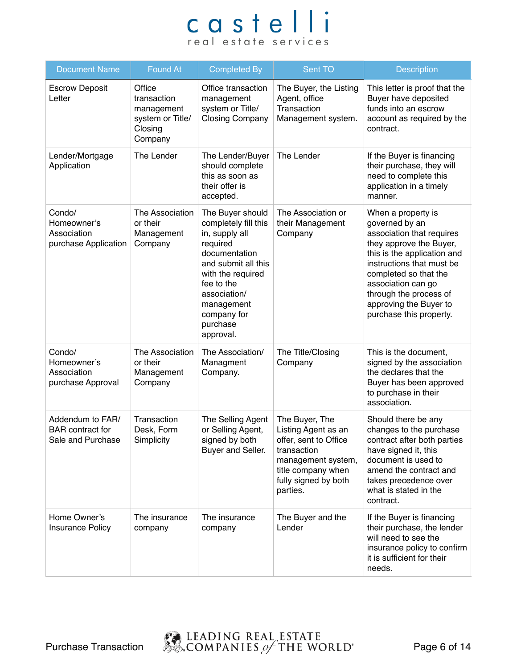| <b>Document Name</b>                                             | Found At                                                                      | <b>Completed By</b>                                                                                                                                                                                                     | Sent TO                                                                                                                                                       | Description                                                                                                                                                                                                                                                                            |
|------------------------------------------------------------------|-------------------------------------------------------------------------------|-------------------------------------------------------------------------------------------------------------------------------------------------------------------------------------------------------------------------|---------------------------------------------------------------------------------------------------------------------------------------------------------------|----------------------------------------------------------------------------------------------------------------------------------------------------------------------------------------------------------------------------------------------------------------------------------------|
| <b>Escrow Deposit</b><br>Letter                                  | Office<br>transaction<br>management<br>system or Title/<br>Closing<br>Company | Office transaction<br>management<br>system or Title/<br><b>Closing Company</b>                                                                                                                                          | The Buyer, the Listing<br>Agent, office<br>Transaction<br>Management system.                                                                                  | This letter is proof that the<br>Buyer have deposited<br>funds into an escrow<br>account as required by the<br>contract.                                                                                                                                                               |
| Lender/Mortgage<br>Application                                   | The Lender                                                                    | The Lender/Buyer<br>should complete<br>this as soon as<br>their offer is<br>accepted.                                                                                                                                   | The Lender                                                                                                                                                    | If the Buyer is financing<br>their purchase, they will<br>need to complete this<br>application in a timely<br>manner.                                                                                                                                                                  |
| Condo/<br>Homeowner's<br>Association<br>purchase Application     | The Association<br>or their<br>Management<br>Company                          | The Buyer should<br>completely fill this<br>in, supply all<br>required<br>documentation<br>and submit all this<br>with the required<br>fee to the<br>association/<br>management<br>company for<br>purchase<br>approval. | The Association or<br>their Management<br>Company                                                                                                             | When a property is<br>governed by an<br>association that requires<br>they approve the Buyer,<br>this is the application and<br>instructions that must be<br>completed so that the<br>association can go<br>through the process of<br>approving the Buyer to<br>purchase this property. |
| Condo/<br>Homeowner's<br>Association<br>purchase Approval        | The Association<br>or their<br>Management<br>Company                          | The Association/<br>Managment<br>Company.                                                                                                                                                                               | The Title/Closing<br>Company                                                                                                                                  | This is the document,<br>signed by the association<br>the declares that the<br>Buyer has been approved<br>to purchase in their<br>association.                                                                                                                                         |
| Addendum to FAR/<br><b>BAR</b> contract for<br>Sale and Purchase | Transaction<br>Desk, Form<br>Simplicity                                       | The Selling Agent<br>or Selling Agent,<br>signed by both<br>Buyer and Seller.                                                                                                                                           | The Buyer, The<br>Listing Agent as an<br>offer, sent to Office<br>transaction<br>management system,<br>title company when<br>fully signed by both<br>parties. | Should there be any<br>changes to the purchase<br>contract after both parties<br>have signed it, this<br>document is used to<br>amend the contract and<br>takes precedence over<br>what is stated in the<br>contract.                                                                  |
| Home Owner's<br><b>Insurance Policy</b>                          | The insurance<br>company                                                      | The insurance<br>company                                                                                                                                                                                                | The Buyer and the<br>Lender                                                                                                                                   | If the Buyer is financing<br>their purchase, the lender<br>will need to see the<br>insurance policy to confirm<br>it is sufficient for their<br>needs.                                                                                                                                 |

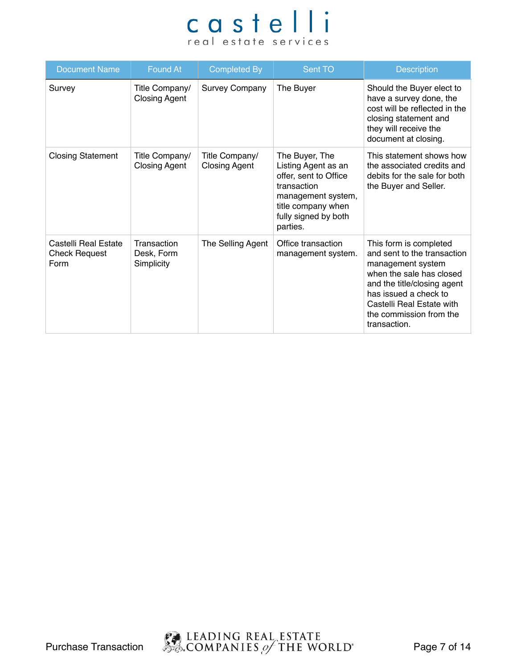| <b>Document Name</b>                                 | Found At                                | <b>Completed By</b>                    | Sent TO                                                                                                                                                       | <b>Description</b>                                                                                                                                                                                                                     |
|------------------------------------------------------|-----------------------------------------|----------------------------------------|---------------------------------------------------------------------------------------------------------------------------------------------------------------|----------------------------------------------------------------------------------------------------------------------------------------------------------------------------------------------------------------------------------------|
| Survey                                               | Title Company/<br><b>Closing Agent</b>  | <b>Survey Company</b>                  | The Buyer                                                                                                                                                     | Should the Buyer elect to<br>have a survey done, the<br>cost will be reflected in the<br>closing statement and<br>they will receive the<br>document at closing.                                                                        |
| <b>Closing Statement</b>                             | Title Company/<br><b>Closing Agent</b>  | Title Company/<br><b>Closing Agent</b> | The Buyer, The<br>Listing Agent as an<br>offer, sent to Office<br>transaction<br>management system,<br>title company when<br>fully signed by both<br>parties. | This statement shows how<br>the associated credits and<br>debits for the sale for both<br>the Buyer and Seller.                                                                                                                        |
| Castelli Real Estate<br><b>Check Request</b><br>Form | Transaction<br>Desk, Form<br>Simplicity | The Selling Agent                      | Office transaction<br>management system.                                                                                                                      | This form is completed<br>and sent to the transaction<br>management system<br>when the sale has closed<br>and the title/closing agent<br>has issued a check to<br>Castelli Real Estate with<br>the commission from the<br>transaction. |

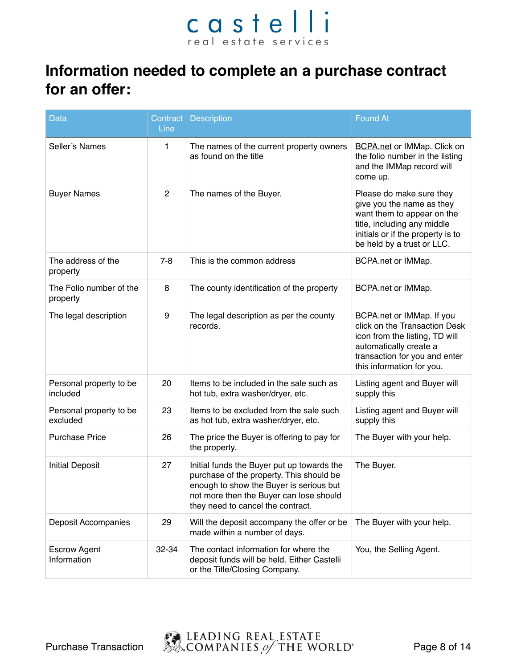#### **Information needed to complete an a purchase contract for an offer:**

| <b>Data</b>                         | Line           | Contract   Description                                                                                                                                                                                            | <b>Found At</b>                                                                                                                                                                       |
|-------------------------------------|----------------|-------------------------------------------------------------------------------------------------------------------------------------------------------------------------------------------------------------------|---------------------------------------------------------------------------------------------------------------------------------------------------------------------------------------|
| Seller's Names                      | 1              | The names of the current property owners<br>as found on the title                                                                                                                                                 | <b>BCPA.net or IMMap. Click on</b><br>the folio number in the listing<br>and the IMMap record will<br>come up.                                                                        |
| <b>Buyer Names</b>                  | $\overline{2}$ | The names of the Buyer.                                                                                                                                                                                           | Please do make sure they<br>give you the name as they<br>want them to appear on the<br>title, including any middle<br>initials or if the property is to<br>be held by a trust or LLC. |
| The address of the<br>property      | $7 - 8$        | This is the common address                                                                                                                                                                                        | BCPA.net or IMMap.                                                                                                                                                                    |
| The Folio number of the<br>property | 8              | The county identification of the property                                                                                                                                                                         | BCPA.net or IMMap.                                                                                                                                                                    |
| The legal description               | 9              | The legal description as per the county<br>records.                                                                                                                                                               | BCPA.net or IMMap. If you<br>click on the Transaction Desk<br>icon from the listing, TD will<br>automatically create a<br>transaction for you and enter<br>this information for you.  |
| Personal property to be<br>included | 20             | Items to be included in the sale such as<br>hot tub, extra washer/dryer, etc.                                                                                                                                     | Listing agent and Buyer will<br>supply this                                                                                                                                           |
| Personal property to be<br>excluded | 23             | Items to be excluded from the sale such<br>as hot tub, extra washer/dryer, etc.                                                                                                                                   | Listing agent and Buyer will<br>supply this                                                                                                                                           |
| <b>Purchase Price</b>               | 26             | The price the Buyer is offering to pay for<br>the property.                                                                                                                                                       | The Buyer with your help.                                                                                                                                                             |
| <b>Initial Deposit</b>              | 27             | Initial funds the Buyer put up towards the<br>purchase of the property. This should be<br>enough to show the Buyer is serious but<br>not more then the Buyer can lose should<br>they need to cancel the contract. | The Buyer.                                                                                                                                                                            |
| Deposit Accompanies                 | 29             | Will the deposit accompany the offer or be<br>made within a number of days.                                                                                                                                       | The Buyer with your help.                                                                                                                                                             |
| <b>Escrow Agent</b><br>Information  | 32-34          | The contact information for where the<br>deposit funds will be held. Either Castelli<br>or the Title/Closing Company.                                                                                             | You, the Selling Agent.                                                                                                                                                               |

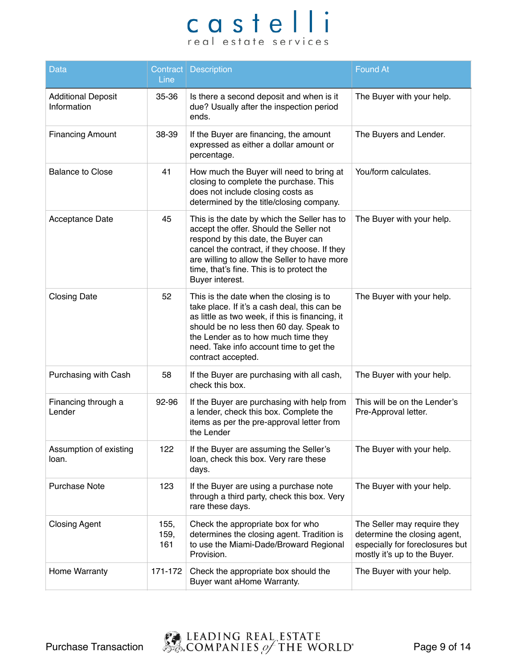| <b>Data</b>                              | Line                | Contract   Description                                                                                                                                                                                                                                                                        | <b>Found At</b>                                                                                                                |
|------------------------------------------|---------------------|-----------------------------------------------------------------------------------------------------------------------------------------------------------------------------------------------------------------------------------------------------------------------------------------------|--------------------------------------------------------------------------------------------------------------------------------|
| <b>Additional Deposit</b><br>Information | 35-36               | Is there a second deposit and when is it<br>due? Usually after the inspection period<br>ends.                                                                                                                                                                                                 | The Buyer with your help.                                                                                                      |
| <b>Financing Amount</b>                  | 38-39               | If the Buyer are financing, the amount<br>expressed as either a dollar amount or<br>percentage.                                                                                                                                                                                               | The Buyers and Lender.                                                                                                         |
| <b>Balance to Close</b>                  | 41                  | How much the Buyer will need to bring at<br>closing to complete the purchase. This<br>does not include closing costs as<br>determined by the title/closing company.                                                                                                                           | You/form calculates.                                                                                                           |
| Acceptance Date                          | 45                  | This is the date by which the Seller has to<br>accept the offer. Should the Seller not<br>respond by this date, the Buyer can<br>cancel the contract, if they choose. If they<br>are willing to allow the Seller to have more<br>time, that's fine. This is to protect the<br>Buyer interest. | The Buyer with your help.                                                                                                      |
| <b>Closing Date</b>                      | 52                  | This is the date when the closing is to<br>take place. If it's a cash deal, this can be<br>as little as two week, if this is financing, it<br>should be no less then 60 day. Speak to<br>the Lender as to how much time they<br>need. Take info account time to get the<br>contract accepted. | The Buyer with your help.                                                                                                      |
| Purchasing with Cash                     | 58                  | If the Buyer are purchasing with all cash,<br>check this box.                                                                                                                                                                                                                                 | The Buyer with your help.                                                                                                      |
| Financing through a<br>Lender            | 92-96               | If the Buyer are purchasing with help from<br>a lender, check this box. Complete the<br>items as per the pre-approval letter from<br>the Lender                                                                                                                                               | This will be on the Lender's<br>Pre-Approval letter.                                                                           |
| Assumption of existing<br>loan.          | 122                 | If the Buyer are assuming the Seller's<br>loan, check this box. Very rare these<br>days.                                                                                                                                                                                                      | The Buyer with your help.                                                                                                      |
| <b>Purchase Note</b>                     | 123                 | If the Buyer are using a purchase note<br>through a third party, check this box. Very<br>rare these days.                                                                                                                                                                                     | The Buyer with your help.                                                                                                      |
| <b>Closing Agent</b>                     | 155,<br>159,<br>161 | Check the appropriate box for who<br>determines the closing agent. Tradition is<br>to use the Miami-Dade/Broward Regional<br>Provision.                                                                                                                                                       | The Seller may require they<br>determine the closing agent,<br>especially for foreclosures but<br>mostly it's up to the Buyer. |
| Home Warranty                            | 171-172             | Check the appropriate box should the<br>Buyer want aHome Warranty.                                                                                                                                                                                                                            | The Buyer with your help.                                                                                                      |

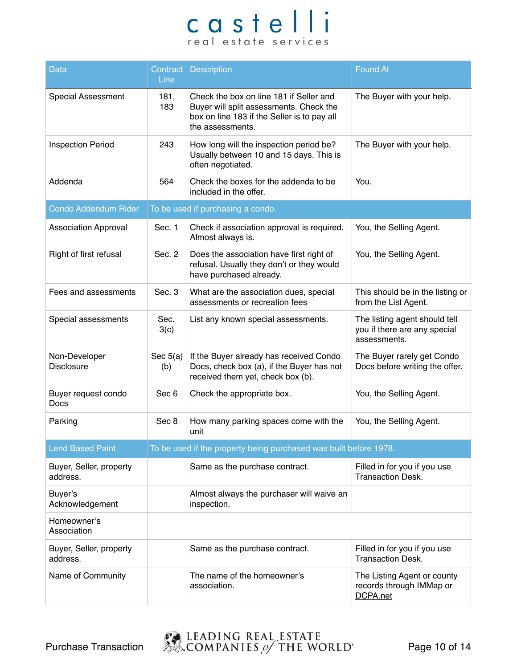| <b>Data</b>                         | Contract  <br>Line | <b>Description</b>                                                                                                                                    | <b>Found At</b>                                                               |
|-------------------------------------|--------------------|-------------------------------------------------------------------------------------------------------------------------------------------------------|-------------------------------------------------------------------------------|
| <b>Special Assessment</b>           | 181,<br>183        | Check the box on line 181 if Seller and<br>Buyer will split assessments. Check the<br>box on line 183 if the Seller is to pay all<br>the assessments. | The Buyer with your help.                                                     |
| <b>Inspection Period</b>            | 243                | How long will the inspection period be?<br>Usually between 10 and 15 days. This is<br>often negotiated.                                               | The Buyer with your help.                                                     |
| Addenda                             | 564                | Check the boxes for the addenda to be<br>included in the offer.                                                                                       | You.                                                                          |
| Condo Addendum Rider                |                    | To be used if purchasing a condo.                                                                                                                     |                                                                               |
| <b>Association Approval</b>         | Sec. 1             | Check if association approval is required.<br>Almost always is.                                                                                       | You, the Selling Agent.                                                       |
| Right of first refusal              | Sec. 2             | Does the association have first right of<br>refusal. Usually they don't or they would<br>have purchased already.                                      | You, the Selling Agent.                                                       |
| Fees and assessments                | Sec. 3             | What are the association dues, special<br>assessments or recreation fees                                                                              | This should be in the listing or<br>from the List Agent.                      |
| Special assessments                 | Sec.<br>3(c)       | List any known special assessments.                                                                                                                   | The listing agent should tell<br>you if there are any special<br>assessments. |
| Non-Developer<br><b>Disclosure</b>  | Sec $5(a)$<br>(b)  | If the Buyer already has received Condo<br>Docs, check box (a), if the Buyer has not<br>received them yet, check box (b).                             | The Buyer rarely get Condo<br>Docs before writing the offer.                  |
| Buyer request condo<br>Docs         | Sec 6              | Check the appropriate box.                                                                                                                            | You, the Selling Agent.                                                       |
| Parking                             | Sec 8              | How many parking spaces come with the<br>unit                                                                                                         | You, the Selling Agent.                                                       |
| <b>Lend Based Paint</b>             |                    | To be used if the property being purchased was built before 1978.                                                                                     |                                                                               |
| Buyer, Seller, property<br>address. |                    | Same as the purchase contract.                                                                                                                        | Filled in for you if you use<br><b>Transaction Desk.</b>                      |
| Buyer's<br>Acknowledgement          |                    | Almost always the purchaser will waive an<br>inspection.                                                                                              |                                                                               |
| Homeowner's<br>Association          |                    |                                                                                                                                                       |                                                                               |
| Buyer, Seller, property<br>address. |                    | Same as the purchase contract.                                                                                                                        | Filled in for you if you use<br><b>Transaction Desk.</b>                      |
| Name of Community                   |                    | The name of the homeowner's<br>association.                                                                                                           | The Listing Agent or county<br>records through IMMap or<br>DCPA.net           |

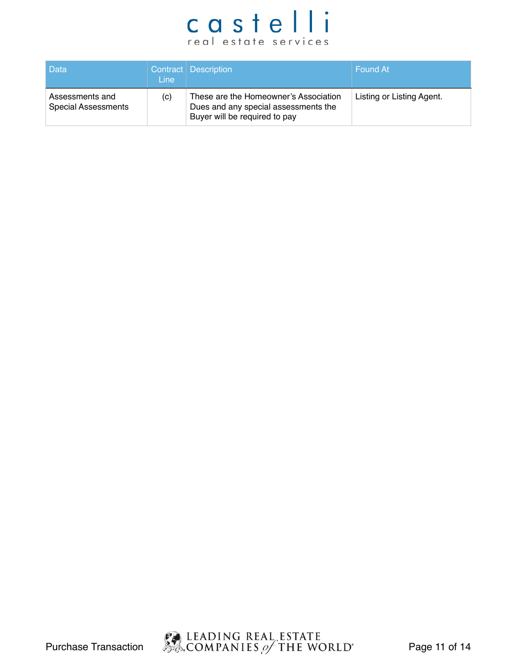| l Data                                        | Line: | Contract Description                                                                                           | Found At                  |
|-----------------------------------------------|-------|----------------------------------------------------------------------------------------------------------------|---------------------------|
| Assessments and<br><b>Special Assessments</b> | (c)   | These are the Homeowner's Association<br>Dues and any special assessments the<br>Buyer will be required to pay | Listing or Listing Agent. |

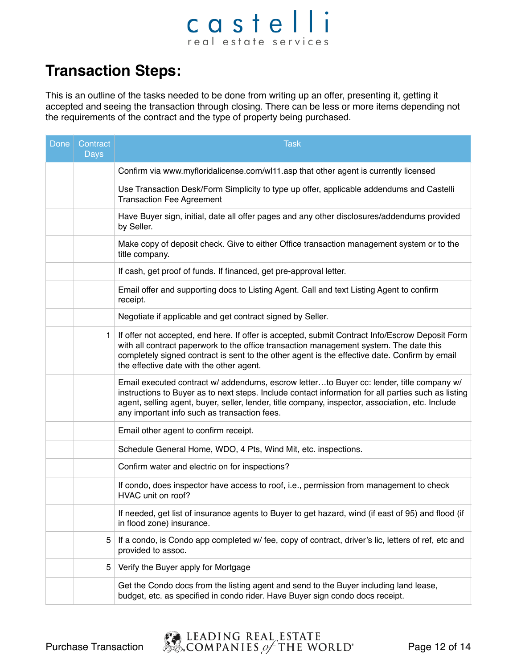#### castelli real estate services

#### **Transaction Steps:**

This is an outline of the tasks needed to be done from writing up an offer, presenting it, getting it accepted and seeing the transaction through closing. There can be less or more items depending not the requirements of the contract and the type of property being purchased.

| Done | Contract<br><b>Days</b> | <b>Task</b>                                                                                                                                                                                                                                                                                                                                         |
|------|-------------------------|-----------------------------------------------------------------------------------------------------------------------------------------------------------------------------------------------------------------------------------------------------------------------------------------------------------------------------------------------------|
|      |                         | Confirm via www.myfloridalicense.com/wl11.asp that other agent is currently licensed                                                                                                                                                                                                                                                                |
|      |                         | Use Transaction Desk/Form Simplicity to type up offer, applicable addendums and Castelli<br><b>Transaction Fee Agreement</b>                                                                                                                                                                                                                        |
|      |                         | Have Buyer sign, initial, date all offer pages and any other disclosures/addendums provided<br>by Seller.                                                                                                                                                                                                                                           |
|      |                         | Make copy of deposit check. Give to either Office transaction management system or to the<br>title company.                                                                                                                                                                                                                                         |
|      |                         | If cash, get proof of funds. If financed, get pre-approval letter.                                                                                                                                                                                                                                                                                  |
|      |                         | Email offer and supporting docs to Listing Agent. Call and text Listing Agent to confirm<br>receipt.                                                                                                                                                                                                                                                |
|      |                         | Negotiate if applicable and get contract signed by Seller.                                                                                                                                                                                                                                                                                          |
|      | 1.                      | If offer not accepted, end here. If offer is accepted, submit Contract Info/Escrow Deposit Form<br>with all contract paperwork to the office transaction management system. The date this<br>completely signed contract is sent to the other agent is the effective date. Confirm by email<br>the effective date with the other agent.              |
|      |                         | Email executed contract w/ addendums, escrow letterto Buyer cc: lender, title company w/<br>instructions to Buyer as to next steps. Include contact information for all parties such as listing<br>agent, selling agent, buyer, seller, lender, title company, inspector, association, etc. Include<br>any important info such as transaction fees. |
|      |                         | Email other agent to confirm receipt.                                                                                                                                                                                                                                                                                                               |
|      |                         | Schedule General Home, WDO, 4 Pts, Wind Mit, etc. inspections.                                                                                                                                                                                                                                                                                      |
|      |                         | Confirm water and electric on for inspections?                                                                                                                                                                                                                                                                                                      |
|      |                         | If condo, does inspector have access to roof, i.e., permission from management to check<br>HVAC unit on roof?                                                                                                                                                                                                                                       |
|      |                         | If needed, get list of insurance agents to Buyer to get hazard, wind (if east of 95) and flood (if<br>in flood zone) insurance.                                                                                                                                                                                                                     |
|      | 5                       | If a condo, is Condo app completed w/ fee, copy of contract, driver's lic, letters of ref, etc and<br>provided to assoc.                                                                                                                                                                                                                            |
|      | 5                       | Verify the Buyer apply for Mortgage                                                                                                                                                                                                                                                                                                                 |
|      |                         | Get the Condo docs from the listing agent and send to the Buyer including land lease,<br>budget, etc. as specified in condo rider. Have Buyer sign condo docs receipt.                                                                                                                                                                              |

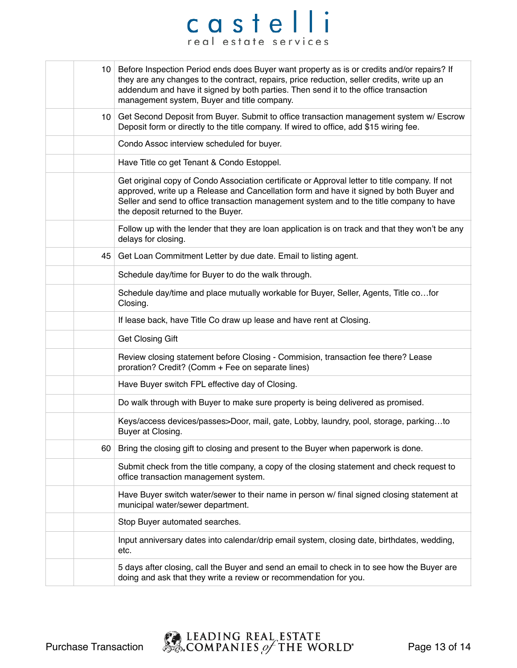|    | 10 Before Inspection Period ends does Buyer want property as is or credits and/or repairs? If<br>they are any changes to the contract, repairs, price reduction, seller credits, write up an<br>addendum and have it signed by both parties. Then send it to the office transaction<br>management system, Buyer and title company. |
|----|------------------------------------------------------------------------------------------------------------------------------------------------------------------------------------------------------------------------------------------------------------------------------------------------------------------------------------|
|    | 10 Get Second Deposit from Buyer. Submit to office transaction management system w/ Escrow<br>Deposit form or directly to the title company. If wired to office, add \$15 wiring fee.                                                                                                                                              |
|    | Condo Assoc interview scheduled for buyer.                                                                                                                                                                                                                                                                                         |
|    | Have Title co get Tenant & Condo Estoppel.                                                                                                                                                                                                                                                                                         |
|    | Get original copy of Condo Association certificate or Approval letter to title company. If not<br>approved, write up a Release and Cancellation form and have it signed by both Buyer and<br>Seller and send to office transaction management system and to the title company to have<br>the deposit returned to the Buyer.        |
|    | Follow up with the lender that they are loan application is on track and that they won't be any<br>delays for closing.                                                                                                                                                                                                             |
|    | 45 Get Loan Commitment Letter by due date. Email to listing agent.                                                                                                                                                                                                                                                                 |
|    | Schedule day/time for Buyer to do the walk through.                                                                                                                                                                                                                                                                                |
|    | Schedule day/time and place mutually workable for Buyer, Seller, Agents, Title cofor<br>Closing.                                                                                                                                                                                                                                   |
|    | If lease back, have Title Co draw up lease and have rent at Closing.                                                                                                                                                                                                                                                               |
|    | <b>Get Closing Gift</b>                                                                                                                                                                                                                                                                                                            |
|    | Review closing statement before Closing - Commision, transaction fee there? Lease<br>proration? Credit? (Comm + Fee on separate lines)                                                                                                                                                                                             |
|    | Have Buyer switch FPL effective day of Closing.                                                                                                                                                                                                                                                                                    |
|    | Do walk through with Buyer to make sure property is being delivered as promised.                                                                                                                                                                                                                                                   |
|    | Keys/access devices/passes>Door, mail, gate, Lobby, laundry, pool, storage, parkingto<br>Buyer at Closing.                                                                                                                                                                                                                         |
| 60 | Bring the closing gift to closing and present to the Buyer when paperwork is done.                                                                                                                                                                                                                                                 |
|    | Submit check from the title company, a copy of the closing statement and check request to<br>office transaction management system.                                                                                                                                                                                                 |
|    | Have Buyer switch water/sewer to their name in person w/ final signed closing statement at<br>municipal water/sewer department.                                                                                                                                                                                                    |
|    | Stop Buyer automated searches.                                                                                                                                                                                                                                                                                                     |
|    | Input anniversary dates into calendar/drip email system, closing date, birthdates, wedding,<br>etc.                                                                                                                                                                                                                                |
|    | 5 days after closing, call the Buyer and send an email to check in to see how the Buyer are<br>doing and ask that they write a review or recommendation for you.                                                                                                                                                                   |